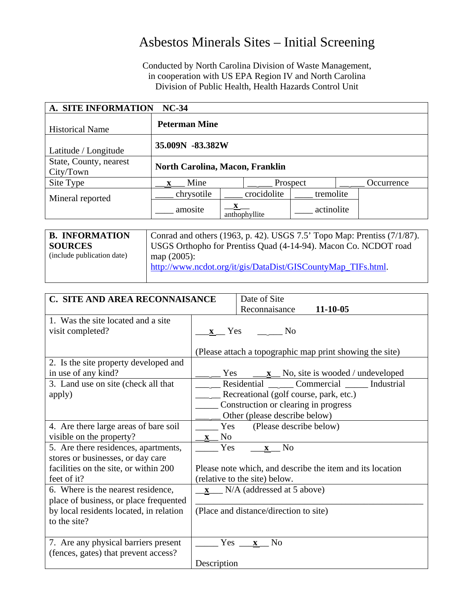## Asbestos Minerals Sites – Initial Screening

Conducted by North Carolina Division of Waste Management, in cooperation with US EPA Region IV and North Carolina Division of Public Health, Health Hazards Control Unit

| A. SITE INFORMATION<br>$NC-34$      |                                        |  |               |            |            |  |
|-------------------------------------|----------------------------------------|--|---------------|------------|------------|--|
| <b>Historical Name</b>              | <b>Peterman Mine</b>                   |  |               |            |            |  |
| Latitude / Longitude                | 35.009N -83.382W                       |  |               |            |            |  |
| State, County, nearest<br>City/Town | <b>North Carolina, Macon, Franklin</b> |  |               |            |            |  |
| Site Type                           | Mine                                   |  | Prospect      |            | Occurrence |  |
| Mineral reported                    | chrysotile                             |  | crocidolite   | tremolite  |            |  |
|                                     | amosite                                |  | anthophyllite | actinolite |            |  |

| <b>B. INFORMATION</b>      | Conrad and others (1963, p. 42). USGS 7.5' Topo Map: Prentiss (7/1/87). |
|----------------------------|-------------------------------------------------------------------------|
| <b>SOURCES</b>             | USGS Orthopho for Prentiss Quad (4-14-94). Macon Co. NCDOT road         |
| (include publication date) | map $(2005)$ :                                                          |
|                            | http://www.ncdot.org/it/gis/DataDist/GISCountyMap_TIFs.html.            |
|                            |                                                                         |

| C. SITE AND AREA RECONNAISANCE          | Date of Site                                                  |  |  |  |  |
|-----------------------------------------|---------------------------------------------------------------|--|--|--|--|
|                                         | Reconnaisance<br>$11 - 10 - 05$                               |  |  |  |  |
| 1. Was the site located and a site.     |                                                               |  |  |  |  |
| visit completed?                        | x Yes No                                                      |  |  |  |  |
|                                         |                                                               |  |  |  |  |
|                                         | (Please attach a topographic map print showing the site)      |  |  |  |  |
| 2. Is the site property developed and   |                                                               |  |  |  |  |
| in use of any kind?                     | Yes $\underline{\mathbf{x}}$ No, site is wooded / undeveloped |  |  |  |  |
| 3. Land use on site (check all that     | Residential Commercial Industrial                             |  |  |  |  |
| apply)                                  | Recreational (golf course, park, etc.)                        |  |  |  |  |
|                                         | Construction or clearing in progress                          |  |  |  |  |
|                                         | Other (please describe below)                                 |  |  |  |  |
| 4. Are there large areas of bare soil   | (Please describe below)<br>Yes                                |  |  |  |  |
| visible on the property?                | N <sub>0</sub>                                                |  |  |  |  |
| 5. Are there residences, apartments,    | Yes<br>N <sub>o</sub><br>$\mathbf{X}$                         |  |  |  |  |
| stores or businesses, or day care       |                                                               |  |  |  |  |
| facilities on the site, or within 200   | Please note which, and describe the item and its location     |  |  |  |  |
| feet of it?                             | (relative to the site) below.                                 |  |  |  |  |
| 6. Where is the nearest residence,      | $x$ N/A (addressed at 5 above)                                |  |  |  |  |
| place of business, or place frequented  |                                                               |  |  |  |  |
| by local residents located, in relation | (Place and distance/direction to site)                        |  |  |  |  |
| to the site?                            |                                                               |  |  |  |  |
|                                         |                                                               |  |  |  |  |
| 7. Are any physical barriers present    | N <sub>o</sub><br>$Yes$ $\_\_$<br>$\mathbf{x}$                |  |  |  |  |
| (fences, gates) that prevent access?    |                                                               |  |  |  |  |
|                                         | Description                                                   |  |  |  |  |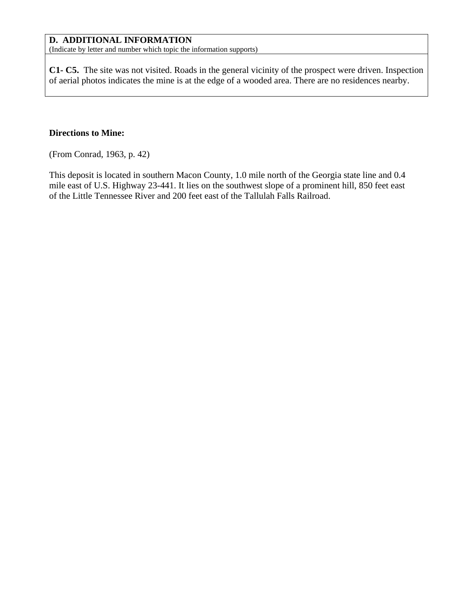## **D. ADDITIONAL INFORMATION**

(Indicate by letter and number which topic the information supports)

**C1- C5.** The site was not visited. Roads in the general vicinity of the prospect were driven. Inspection of aerial photos indicates the mine is at the edge of a wooded area. There are no residences nearby.

## **Directions to Mine:**

(From Conrad, 1963, p. 42)

This deposit is located in southern Macon County, 1.0 mile north of the Georgia state line and 0.4 mile east of U.S. Highway 23-441. It lies on the southwest slope of a prominent hill, 850 feet east of the Little Tennessee River and 200 feet east of the Tallulah Falls Railroad.